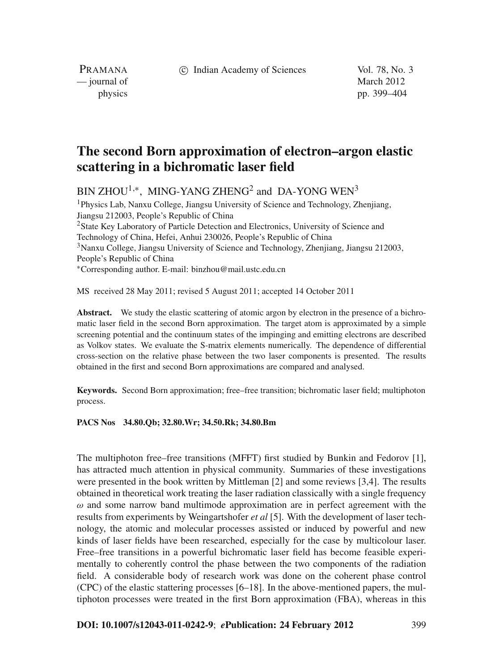c Indian Academy of Sciences Vol. 78, No. 3

PRAMANA — journal of March 2012

physics pp. 399–404

## **The second Born approximation of electron–argon elastic scattering in a bichromatic laser field**

BIN ZHOU<sup>1,∗</sup>, MING-YANG ZHENG<sup>2</sup> and DA-YONG WEN<sup>3</sup>

1Physics Lab, Nanxu College, Jiangsu University of Science and Technology, Zhenjiang, Jiangsu 212003, People's Republic of China <sup>2</sup>State Key Laboratory of Particle Detection and Electronics, University of Science and Technology of China, Hefei, Anhui 230026, People's Republic of China 3Nanxu College, Jiangsu University of Science and Technology, Zhenjiang, Jiangsu 212003, People's Republic of China <sup>∗</sup>Corresponding author. E-mail: binzhou@mail.ustc.edu.cn

MS received 28 May 2011; revised 5 August 2011; accepted 14 October 2011

**Abstract.** We study the elastic scattering of atomic argon by electron in the presence of a bichromatic laser field in the second Born approximation. The target atom is approximated by a simple screening potential and the continuum states of the impinging and emitting electrons are described as Volkov states. We evaluate the S-matrix elements numerically. The dependence of differential cross-section on the relative phase between the two laser components is presented. The results obtained in the first and second Born approximations are compared and analysed.

**Keywords.** Second Born approximation; free–free transition; bichromatic laser field; multiphoton process.

## **PACS Nos 34.80.Qb; 32.80.Wr; 34.50.Rk; 34.80.Bm**

The multiphoton free–free transitions (MFFT) first studied by Bunkin and Fedorov [1], has attracted much attention in physical community. Summaries of these investigations were presented in the book written by Mittleman [2] and some reviews [3,4]. The results obtained in theoretical work treating the laser radiation classically with a single frequency  $\omega$  and some narrow band multimode approximation are in perfect agreement with the results from experiments by Weingartshofer *et al* [5]. With the development of laser technology, the atomic and molecular processes assisted or induced by powerful and new kinds of laser fields have been researched, especially for the case by multicolour laser. Free–free transitions in a powerful bichromatic laser field has become feasible experimentally to coherently control the phase between the two components of the radiation field. A considerable body of research work was done on the coherent phase control (CPC) of the elastic stattering processes [6–18]. In the above-mentioned papers, the multiphoton processes were treated in the first Born approximation (FBA), whereas in this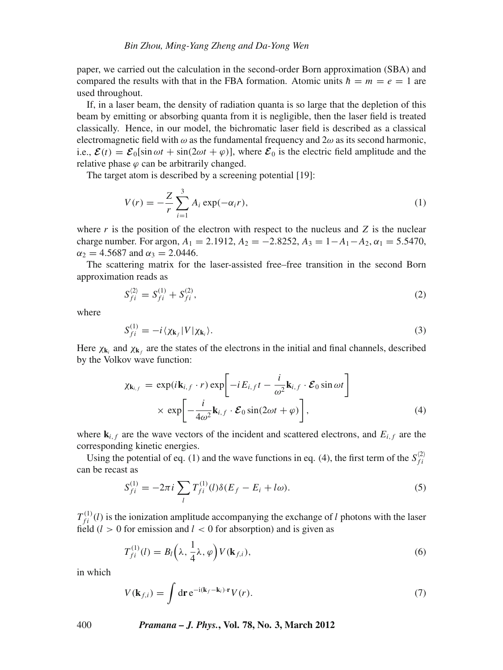paper, we carried out the calculation in the second-order Born approximation (SBA) and compared the results with that in the FBA formation. Atomic units  $\hbar = m = e = 1$  are used throughout.

If, in a laser beam, the density of radiation quanta is so large that the depletion of this beam by emitting or absorbing quanta from it is negligible, then the laser field is treated classically. Hence, in our model, the bichromatic laser field is described as a classical electromagnetic field with  $\omega$  as the fundamental frequency and  $2\omega$  as its second harmonic, i.e.,  $\mathcal{E}(t) = \mathcal{E}_0[\sin \omega t + \sin(2\omega t + \varphi)]$ , where  $\mathcal{E}_0$  is the electric field amplitude and the relative phase  $\varphi$  can be arbitrarily changed.

The target atom is described by a screening potential [19]:

$$
V(r) = -\frac{Z}{r} \sum_{i=1}^{3} A_i \exp(-\alpha_i r),
$$
 (1)

where  $r$  is the position of the electron with respect to the nucleus and  $Z$  is the nuclear charge number. For argon,  $A_1 = 2.1912$ ,  $A_2 = -2.8252$ ,  $A_3 = 1 - A_1 - A_2$ ,  $\alpha_1 = 5.5470$ ,  $\alpha_2 = 4.5687$  and  $\alpha_3 = 2.0446$ .

The scattering matrix for the laser-assisted free–free transition in the second Born approximation reads as

$$
S_{fi}^{(2)} = S_{fi}^{(1)} + S_{fi}^{(2)},
$$
\n(2)

where

$$
S_{fi}^{(1)} = -i \langle \chi_{\mathbf{k}_f} | V | \chi_{\mathbf{k}_i} \rangle.
$$
 (3)

Here  $\chi_{\mathbf{k}_i}$  and  $\chi_{\mathbf{k}_f}$  are the states of the electrons in the initial and final channels, described by the Volkov wave function:

$$
\chi_{\mathbf{k}_{i,f}} = \exp(i\mathbf{k}_{i,f} \cdot r) \exp\left[-iE_{i,f}t - \frac{i}{\omega^2}\mathbf{k}_{i,f} \cdot \mathcal{E}_0 \sin \omega t\right] \times \exp\left[-\frac{i}{4\omega^2}\mathbf{k}_{i,f} \cdot \mathcal{E}_0 \sin(2\omega t + \varphi)\right],
$$
\n(4)

where  $\mathbf{k}_{i,f}$  are the wave vectors of the incident and scattered electrons, and  $E_{i,f}$  are the corresponding kinetic energies.

Using the potential of eq. (1) and the wave functions in eq. (4), the first term of the  $S_{fi}^{(2)}$ can be recast as

$$
S_{fi}^{(1)} = -2\pi i \sum_{l} T_{fi}^{(1)}(l)\delta(E_f - E_i + l\omega). \tag{5}
$$

 $T_{fi}^{(1)}(l)$  is the ionization amplitude accompanying the exchange of *l* photons with the laser field  $(l > 0$  for emission and  $l < 0$  for absorption) and is given as

$$
T_{fi}^{(1)}(l) = B_l\left(\lambda, \frac{1}{4}\lambda, \varphi\right) V(\mathbf{k}_{f,i}),\tag{6}
$$

in which

$$
V(\mathbf{k}_{f,i}) = \int d\mathbf{r} e^{-i(\mathbf{k}_f - \mathbf{k}_i) \cdot \mathbf{r}} V(r).
$$
 (7)

400 *Pramana – J. Phys.***, Vol. 78, No. 3, March 2012**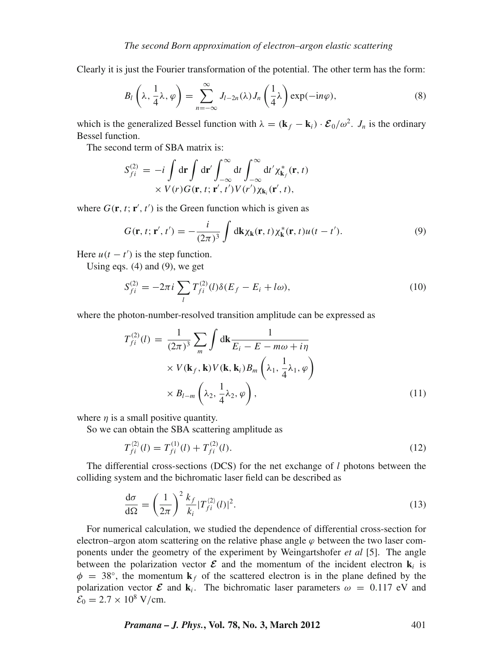Clearly it is just the Fourier transformation of the potential. The other term has the form:

$$
B_l\left(\lambda, \frac{1}{4}\lambda, \varphi\right) = \sum_{n=-\infty}^{\infty} J_{l-2n}(\lambda) J_n\left(\frac{1}{4}\lambda\right) \exp(-in\varphi), \tag{8}
$$

which is the generalized Bessel function with  $\lambda = (\mathbf{k}_f - \mathbf{k}_i) \cdot \mathcal{E}_0/\omega^2$ . *J<sub>n</sub>* is the ordinary Bessel function.

The second term of SBA matrix is:

$$
S_{fi}^{(2)} = -i \int d\mathbf{r} \int d\mathbf{r}' \int_{-\infty}^{\infty} dt \int_{-\infty}^{\infty} dt' \chi_{\mathbf{k}_f}^*(\mathbf{r}, t) \times V(r) G(\mathbf{r}, t; \mathbf{r}', t') V(r') \chi_{\mathbf{k}_i}(\mathbf{r}', t),
$$

where  $G(\mathbf{r}, t; \mathbf{r}', t')$  is the Green function which is given as

$$
G(\mathbf{r},t;\mathbf{r}',t') = -\frac{i}{(2\pi)^3} \int d\mathbf{k} \chi_{\mathbf{k}}(\mathbf{r},t) \chi_{\mathbf{k}}^*(\mathbf{r},t) u(t-t'). \tag{9}
$$

Here  $u(t - t')$  is the step function.

Using eqs.  $(4)$  and  $(9)$ , we get

$$
S_{fi}^{(2)} = -2\pi i \sum_{l} T_{fi}^{(2)}(l)\delta(E_f - E_i + l\omega),
$$
\n(10)

where the photon-number-resolved transition amplitude can be expressed as

$$
T_{fi}^{(2)}(l) = \frac{1}{(2\pi)^3} \sum_{m} \int \mathrm{d}\mathbf{k} \frac{1}{E_i - E - m\omega + i\eta}
$$
  
 
$$
\times V(\mathbf{k}_f, \mathbf{k}) V(\mathbf{k}, \mathbf{k}_i) B_m \left(\lambda_1, \frac{1}{4}\lambda_1, \varphi\right)
$$
  
 
$$
\times B_{l-m} \left(\lambda_2, \frac{1}{4}\lambda_2, \varphi\right), \tag{11}
$$

where  $\eta$  is a small positive quantity.

So we can obtain the SBA scattering amplitude as

$$
T_{fi}^{(2)}(l) = T_{fi}^{(1)}(l) + T_{fi}^{(2)}(l). \tag{12}
$$

The differential cross-sections (DCS) for the net exchange of *l* photons between the colliding system and the bichromatic laser field can be described as

$$
\frac{\mathrm{d}\sigma}{\mathrm{d}\Omega} = \left(\frac{1}{2\pi}\right)^2 \frac{k_f}{k_i} |T_{fi}^{(2)}(l)|^2. \tag{13}
$$

For numerical calculation, we studied the dependence of differential cross-section for electron–argon atom scattering on the relative phase angle  $\varphi$  between the two laser components under the geometry of the experiment by Weingartshofer *et al* [5]. The angle between the polarization vector  $\mathcal{E}$  and the momentum of the incident electron  $\mathbf{k}_i$  is  $\phi = 38^\circ$ , the momentum **k**<sub>*f*</sub> of the scattered electron is in the plane defined by the polarization vector  $\mathcal{E}$  and  $\mathbf{k}_i$ . The bichromatic laser parameters  $\omega = 0.117$  eV and  $\mathcal{E}_0 = 2.7 \times 10^8$  V/cm.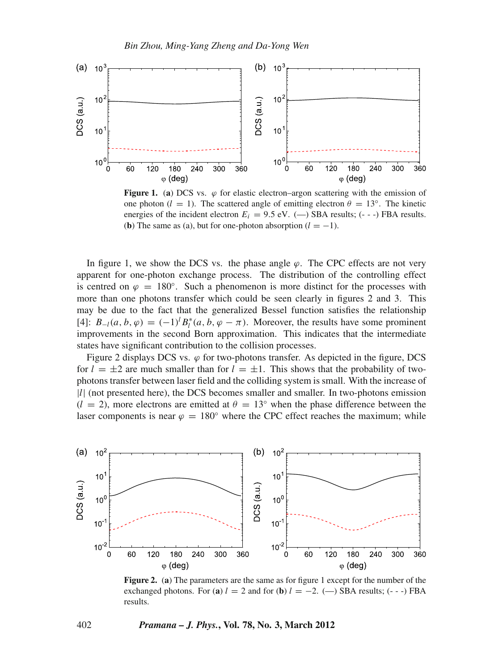

**Figure 1.** (a) DCS vs.  $\varphi$  for elastic electron–argon scattering with the emission of one photon ( $l = 1$ ). The scattered angle of emitting electron  $\theta = 13^\circ$ ). The kinetic energies of the incident electron  $E_i = 9.5$  eV. (-) SBA results; (---) FBA results. (**b**) The same as (a), but for one-photon absorption  $(l = -1)$ .

In figure 1, we show the DCS vs. the phase angle  $\varphi$ . The CPC effects are not very apparent for one-photon exchange process. The distribution of the controlling effect is centred on  $\varphi = 180^\circ$ . Such a phenomenon is more distinct for the processes with more than one photons transfer which could be seen clearly in figures 2 and 3. This may be due to the fact that the generalized Bessel function satisfies the relationship [4]:  $B_{-l}(a, b, \varphi) = (-1)^l B_l^*(a, b, \varphi - \pi)$ . Moreover, the results have some prominent improvements in the second Born approximation. This indicates that the intermediate states have significant contribution to the collision processes.

Figure 2 displays DCS vs.  $\varphi$  for two-photons transfer. As depicted in the figure, DCS for  $l = \pm 2$  are much smaller than for  $l = \pm 1$ . This shows that the probability of twophotons transfer between laser field and the colliding system is small. With the increase of |*l*| (not presented here), the DCS becomes smaller and smaller. In two-photons emission  $(l = 2)$ , more electrons are emitted at  $\theta = 13^\circ$  when the phase difference between the laser components is near  $\varphi = 180^\circ$  where the CPC effect reaches the maximum; while



**Figure 2.** (**a**) The parameters are the same as for figure 1 except for the number of the exchanged photons. For (a)  $l = 2$  and for (b)  $l = -2$ . (-) SBA results; (---) FBA results.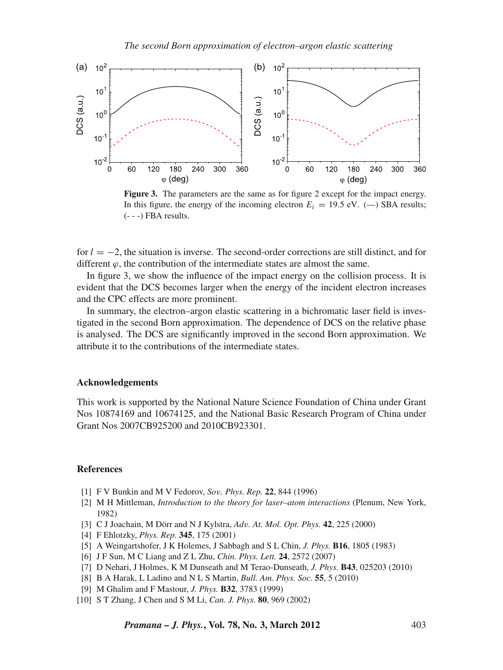

**Figure 3.** The parameters are the same as for figure 2 except for the impact energy. In this figure, the energy of the incoming electron  $E_i = 19.5$  eV. (-) SBA results; (- - -) FBA results.

for *l* = −2, the situation is inverse. The second-order corrections are still distinct, and for different  $\varphi$ , the contribution of the intermediate states are almost the same.

In figure 3, we show the influence of the impact energy on the collision process. It is evident that the DCS becomes larger when the energy of the incident electron increases and the CPC effects are more prominent.

In summary, the electron–argon elastic scattering in a bichromatic laser field is investigated in the second Born approximation. The dependence of DCS on the relative phase is analysed. The DCS are significantly improved in the second Born approximation. We attribute it to the contributions of the intermediate states.

## **Acknowledgements**

This work is supported by the National Nature Science Foundation of China under Grant Nos 10874169 and 10674125, and the National Basic Research Program of China under Grant Nos 2007CB925200 and 2010CB923301.

## **References**

- [1] F V Bunkin and M V Fedorov, *So*v*. Phys. Rep.* **22**, 844 (1996)
- [2] M H Mittleman, *Introduction to the theory for laser–atom interactions* (Plenum, New York, 1982)
- [3] C J Joachain, M Dörr and N J Kylstra, *Ad*v*. At. Mol. Opt. Phys.* **42**, 225 (2000)
- [4] F Ehlotzky, *Phys. Rep.* **345**, 175 (2001)
- [5] A Weingartshofer, J K Holemes, J Sabbagh and S L Chin, *J. Phys.* **B16**, 1805 (1983)
- [6] J F Sun, M C Liang and Z L Zhu, *Chin. Phys. Lett.* **24**, 2572 (2007)
- [7] D Nehari, J Holmes, K M Dunseath and M Terao-Dunseath, *J. Phys.* **B43**, 025203 (2010)
- [8] B A Harak, L Ladino and N L S Martin, *Bull. Am. Phys. Soc.* **55**, 5 (2010)
- [9] M Ghalim and F Mastour, *J. Phys.* **B32**, 3783 (1999)
- [10] S T Zhang, J Chen and S M Li, *Can. J. Phys.* **80**, 969 (2002)